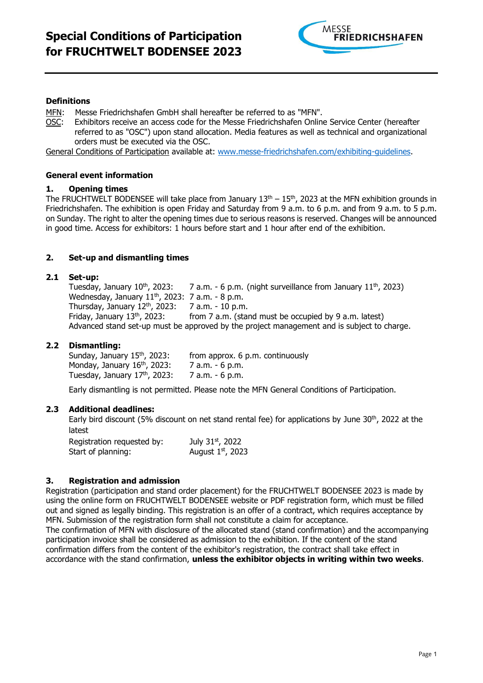

#### **Definitions**

- MFN: Messe Friedrichshafen GmbH shall hereafter be referred to as "MFN".
- OSC: Exhibitors receive an access code for the Messe Friedrichshafen Online Service Center (hereafter referred to as "OSC") upon stand allocation. Media features as well as technical and organizational orders must be executed via the OSC.

General Conditions of Participation available at: www.messe-friedrichshafen.com/exhibiting-quidelines.

#### **General event information**

#### **1. Opening times**

The FRUCHTWELT BODENSEE will take place from January  $13<sup>th</sup> - 15<sup>th</sup>$ , 2023 at the MFN exhibition grounds in Friedrichshafen. The exhibition is open Friday and Saturday from 9 a.m. to 6 p.m. and from 9 a.m. to 5 p.m. on Sunday. The right to alter the opening times due to serious reasons is reserved. Changes will be announced in good time. Access for exhibitors: 1 hours before start and 1 hour after end of the exhibition.

#### **2. Set-up and dismantling times**

#### **2.1 Set-up:**

Tuesday, January  $10^{th}$ , 2023: 7 a.m. - 6 p.m. (night surveillance from January  $11^{th}$ , 2023) Wednesday, January 11<sup>th</sup>, 2023: 7 a.m. - 8 p.m. Thursday, January  $12^{th}$ , 2023: 7 a.m. - 10 p.m.<br>Fridav, January 13<sup>th</sup>, 2023: from 7 a.m. (stai from  $7$  a.m. (stand must be occupied by 9 a.m. latest) Advanced stand set-up must be approved by the project management and is subject to charge.

#### **2.2 Dismantling:**

| Sunday, January 15th, 2023:              | from approx. 6 p.m. continuously |
|------------------------------------------|----------------------------------|
| Monday, January 16 <sup>th</sup> , 2023: | 7 a.m. - 6 p.m.                  |
| Tuesday, January 17th, 2023:             | 7 a.m. - 6 p.m.                  |

Early dismantling is not permitted. Please note the MFN General Conditions of Participation.

#### **2.3 Additional deadlines:**

Early bird discount (5% discount on net stand rental fee) for applications by June  $30^{th}$ , 2022 at the latest

| Registration requested by: | July 31st, 2022     |
|----------------------------|---------------------|
| Start of planning:         | August $1st$ , 2023 |

#### **3. Registration and admission**

Registration (participation and stand order placement) for the FRUCHTWELT BODENSEE 2023 is made by using the online form on FRUCHTWELT BODENSEE website or PDF registration form, which must be filled out and signed as legally binding. This registration is an offer of a contract, which requires acceptance by MFN. Submission of the registration form shall not constitute a claim for acceptance. The confirmation of MFN with disclosure of the allocated stand (stand confirmation) and the accompanying participation invoice shall be considered as admission to the exhibition. If the content of the stand confirmation differs from the content of the exhibitor's registration, the contract shall take effect in accordance with the stand confirmation, **unless the exhibitor objects in writing within two weeks**.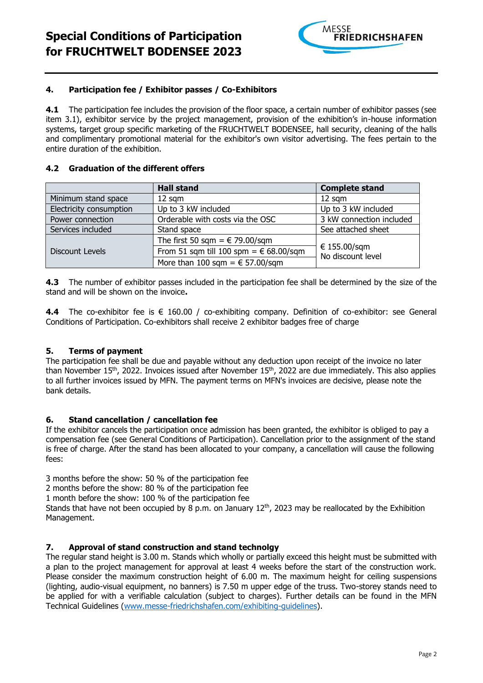

### **4. Participation fee / Exhibitor passes / Co-Exhibitors**

**4.1** The participation fee includes the provision of the floor space, a certain number of exhibitor passes (see item 3.1), exhibitor service by the project management, provision of the exhibition's in-house information systems, target group specific marketing of the FRUCHTWELT BODENSEE, hall security, cleaning of the halls and complimentary promotional material for the exhibitor's own visitor advertising. The fees pertain to the entire duration of the exhibition.

### **4.2 Graduation of the different offers**

|                         | <b>Hall stand</b>                               | <b>Complete stand</b>             |
|-------------------------|-------------------------------------------------|-----------------------------------|
| Minimum stand space     | $12 \text{ sqm}$                                | $12$ sqm                          |
| Electricity consumption | Up to 3 kW included                             | Up to 3 kW included               |
| Power connection        | Orderable with costs via the OSC                | 3 kW connection included          |
| Services included       | Stand space                                     | See attached sheet                |
|                         | The first 50 sqm = $\epsilon$ 79.00/sqm         |                                   |
| Discount Levels         | From 51 sqm till 100 spm = $\epsilon$ 68.00/sqm | € 155.00/sqm<br>No discount level |
|                         | More than 100 sqm = $\epsilon$ 57.00/sqm        |                                   |

**4.3** The number of exhibitor passes included in the participation fee shall be determined by the size of the stand and will be shown on the invoice**.**

**4.4** The co-exhibitor fee is € 160.00 / co-exhibiting company. Definition of co-exhibitor: see General Conditions of Participation. Co-exhibitors shall receive 2 exhibitor badges free of charge

# **5. Terms of payment**

The participation fee shall be due and payable without any deduction upon receipt of the invoice no later than November 15<sup>th</sup>, 2022. Invoices issued after November 15<sup>th</sup>, 2022 are due immediately. This also applies to all further invoices issued by MFN. The payment terms on MFN's invoices are decisive, please note the bank details.

#### **6. Stand cancellation / cancellation fee**

If the exhibitor cancels the participation once admission has been granted, the exhibitor is obliged to pay a compensation fee (see General Conditions of Participation). Cancellation prior to the assignment of the stand is free of charge. After the stand has been allocated to your company, a cancellation will cause the following fees:

3 months before the show: 50 % of the participation fee

2 months before the show: 80 % of the participation fee

1 month before the show: 100 % of the participation fee

Stands that have not been occupied by 8 p.m. on January 12<sup>th</sup>, 2023 may be reallocated by the Exhibition Management.

# **7. Approval of stand construction and stand technolgy**

The regular stand height is 3.00 m. Stands which wholly or partially exceed this height must be submitted with a plan to the project management for approval at least 4 weeks before the start of the construction work. Please consider the maximum construction height of 6.00 m. The maximum height for ceiling suspensions (lighting, audio-visual equipment, no banners) is 7.50 m upper edge of the truss. Two-storey stands need to be applied for with a verifiable calculation (subject to charges). Further details can be found in the MFN Technical Guidelines [\(www.messe-friedrichshafen.com/exhibiting-guidelines\)](http://www.messe-friedrichshafen.com/exhibiting-guidelines).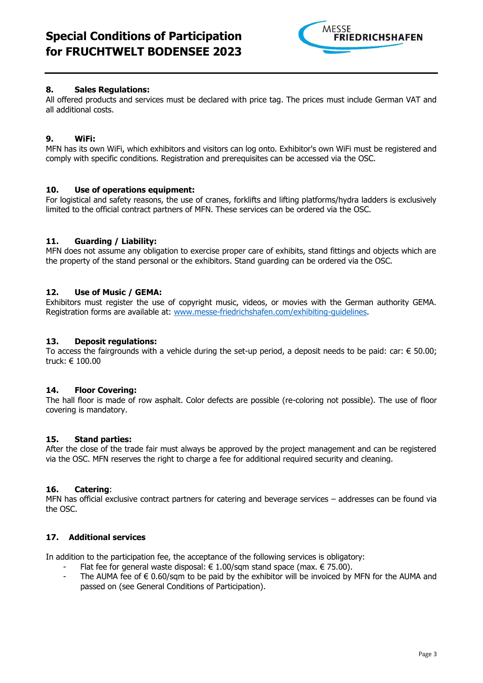

# **8. Sales Regulations:**

All offered products and services must be declared with price tag. The prices must include German VAT and all additional costs.

# **9. WiFi:**

MFN has its own WiFi, which exhibitors and visitors can log onto. Exhibitor's own WiFi must be registered and comply with specific conditions. Registration and prerequisites can be accessed via the OSC.

# **10. Use of operations equipment:**

For logistical and safety reasons, the use of cranes, forklifts and lifting platforms/hydra ladders is exclusively limited to the official contract partners of MFN. These services can be ordered via the OSC.

# **11. Guarding / Liability:**

MFN does not assume any obligation to exercise proper care of exhibits, stand fittings and objects which are the property of the stand personal or the exhibitors. Stand guarding can be ordered via the OSC.

# **12. Use of Music / GEMA:**

Exhibitors must register the use of copyright music, videos, or movies with the German authority GEMA. Registration forms are available at: [www.messe-friedrichshafen.com/exhibiting-guidelines.](http://www.messe-friedrichshafen.com/exhibiting-guidelines)

### **13. Deposit regulations:**

To access the fairgrounds with a vehicle during the set-up period, a deposit needs to be paid: car:  $\epsilon$  50.00; truck: € 100.00

# **14. Floor Covering:**

The hall floor is made of row asphalt. Color defects are possible (re-coloring not possible). The use of floor covering is mandatory.

# **15. Stand parties:**

After the close of the trade fair must always be approved by the project management and can be registered via the OSC. MFN reserves the right to charge a fee for additional required security and cleaning.

# **16. Catering**:

MFN has official exclusive contract partners for catering and beverage services – addresses can be found via the OSC.

### **17. Additional services**

In addition to the participation fee, the acceptance of the following services is obligatory:

- Flat fee for general waste disposal:  $\epsilon$  1.00/sqm stand space (max.  $\epsilon$  75.00).
- The AUMA fee of  $\epsilon$  0.60/sqm to be paid by the exhibitor will be invoiced by MFN for the AUMA and passed on (see General Conditions of Participation).